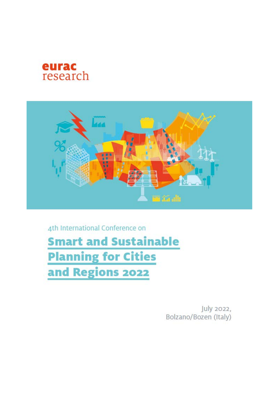



4th International Conference on **Smart and Sustainable Planning for Cities** and Regions 2022

> July 2022, Bolzano/Bozen (Italy)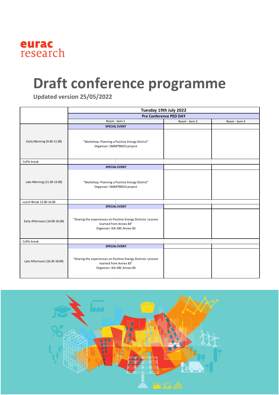

## **Draft conference programme**

**Updated version 25/05/2022**

|                                                       | Tuesday 19th July 2022<br><b>Pre Conference PED DAY</b>                                                                                         |              |              |  |
|-------------------------------------------------------|-------------------------------------------------------------------------------------------------------------------------------------------------|--------------|--------------|--|
|                                                       |                                                                                                                                                 |              |              |  |
|                                                       | Room - Sem 1                                                                                                                                    | Room - Sem 3 | Room - Sem 4 |  |
|                                                       | <b>SPECIAL EVENT</b>                                                                                                                            |              |              |  |
| Early Morning (9.00-11.00)                            | "Workshop: Planning a Positive Energy District"<br>Organiser: SMARTBEEJS project                                                                |              |              |  |
| Coffe break                                           |                                                                                                                                                 |              |              |  |
| Late Morning (11.30-13.00)<br>Lunch Break 13.00-14.00 | <b>SPECIAL EVENT</b><br>"Workshop: Planning a Positive Energy District"<br>Organiser: SMARTBEEJS project                                        |              |              |  |
|                                                       | <b>SPECIAL EVENT</b>                                                                                                                            |              |              |  |
| Early Afternoon (14.00-16.00)                         | "Sharing the experiences on Positive Energy Districts: Lessons<br>learned from Annex 83"<br>Organiser: IEA-EBC Annex 83                         |              |              |  |
| Coffe break                                           |                                                                                                                                                 |              |              |  |
| Late Afternoon (16.30-18.00)                          | <b>SPECIAL EVENT</b><br>"Sharing the experiences on Positive Energy Districts: Lessons<br>learned from Annex 83"<br>Organiser: IEA-EBC Annex 83 |              |              |  |

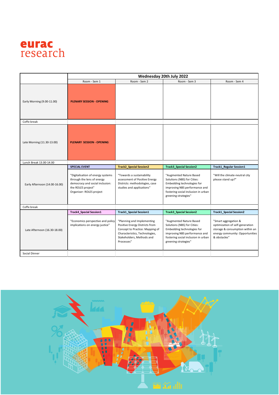

|                               | Wednesday 20th July 2022                                                                                                                             |                                                                                                                                                                              |                                                                                                                                                                                      |                                                                                                                                               |
|-------------------------------|------------------------------------------------------------------------------------------------------------------------------------------------------|------------------------------------------------------------------------------------------------------------------------------------------------------------------------------|--------------------------------------------------------------------------------------------------------------------------------------------------------------------------------------|-----------------------------------------------------------------------------------------------------------------------------------------------|
|                               | Room - Sem 1                                                                                                                                         | Room - Sem 2                                                                                                                                                                 | Room - Sem 3                                                                                                                                                                         | Room - Sem 4                                                                                                                                  |
| Early Morning (9.00-11.00)    | <b>PLENARY SESSION - OPENING</b>                                                                                                                     |                                                                                                                                                                              |                                                                                                                                                                                      |                                                                                                                                               |
| Coffe break                   |                                                                                                                                                      |                                                                                                                                                                              |                                                                                                                                                                                      |                                                                                                                                               |
| Late Morning (11.30-13.00)    | <b>PLENARY SESSION - OPENING</b>                                                                                                                     |                                                                                                                                                                              |                                                                                                                                                                                      |                                                                                                                                               |
| Lunch Break 13.00-14.00       |                                                                                                                                                      |                                                                                                                                                                              |                                                                                                                                                                                      |                                                                                                                                               |
|                               | <b>SPECIAL EVENT</b>                                                                                                                                 | <b>Track2_Special Session2</b>                                                                                                                                               | <b>Track3_Special Session2</b>                                                                                                                                                       | <b>Track1_Regular Session1</b>                                                                                                                |
| Early Afternoon (14.00-16.00) | "Digitalisation of energy systems<br>through the lens of energy<br>democracy and social inclusion:<br>the ROLES project"<br>Organiser: ROLES project | "Towards a sustainability<br>assessment of Positive Energy<br>Districts: methodologies, case<br>studies and applications"                                                    | "Augmented Nature Based<br>Solutions (NBS) for Cities:<br>Embedding technologies for<br>improving NBS performance and<br>fostering social inclusion in urban<br>greening strategies" | "Will the climate-neutral city<br>please stand up?"                                                                                           |
| Coffe break                   |                                                                                                                                                      |                                                                                                                                                                              |                                                                                                                                                                                      |                                                                                                                                               |
| Late Afternoon (16.30-18.00)  | <b>Track4_Special Session1</b>                                                                                                                       | <b>Track1_Special Session1</b>                                                                                                                                               | <b>Track3_Special Session2</b>                                                                                                                                                       | <b>Track1_Special Session2</b>                                                                                                                |
|                               | "Economics perspective and policy<br>implications on energy justice"                                                                                 | "Planning and Implementing<br>Positive Energy Districts from<br>Concept to Practice: Mapping of<br>Characteristics, Technologies,<br>Stakeholders, Methods and<br>Processes" | "Augmented Nature Based<br>Solutions (NBS) for Cities:<br>Embedding technologies for<br>improving NBS performance and<br>fostering social inclusion in urban<br>greening strategies" | "Smart aggregation &<br>optimization of self-generation<br>storage & consumption within an<br>energy community: Opportunities<br>& obstacles" |
| Social Dinner                 |                                                                                                                                                      |                                                                                                                                                                              |                                                                                                                                                                                      |                                                                                                                                               |

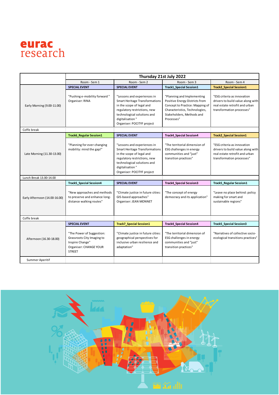

|                               | Thursday 21st July 2022                                                                                               |                                                                                                                                                                                                                   |                                                                                                                                                                              |                                                                                                                                 |
|-------------------------------|-----------------------------------------------------------------------------------------------------------------------|-------------------------------------------------------------------------------------------------------------------------------------------------------------------------------------------------------------------|------------------------------------------------------------------------------------------------------------------------------------------------------------------------------|---------------------------------------------------------------------------------------------------------------------------------|
|                               | Room - Sem 1                                                                                                          | Room - Sem 2                                                                                                                                                                                                      | Room - Sem 3                                                                                                                                                                 | Room - Sem 4                                                                                                                    |
|                               | <b>SPECIAL EVENT</b>                                                                                                  | <b>SPECIAL EVENT</b>                                                                                                                                                                                              | <b>Track1 Special Session1</b>                                                                                                                                               | <b>Track2 Special Session1</b>                                                                                                  |
| Early Morning (9.00-11.00)    | "Pushing e-mobility forward"<br>Organiser: RINA                                                                       | "Lessons and experiences in<br><b>Smart Heritage Transformations</b><br>in the scope of legal and<br>regulatory restrictions, new<br>technological solutions and<br>digitalisation"<br>Organiser: POCITYF project | "Planning and Implementing<br>Positive Energy Districts from<br>Concept to Practice: Mapping of<br>Characteristics, Technologies,<br>Stakeholders, Methods and<br>Processes" | "ESG criteria as innovation<br>drivers to build value along with<br>real estate retrofit and urban<br>transformation processes" |
| Coffe break                   |                                                                                                                       |                                                                                                                                                                                                                   |                                                                                                                                                                              |                                                                                                                                 |
|                               | <b>Track6 Regular Session1</b>                                                                                        | <b>SPECIAL EVENT</b>                                                                                                                                                                                              | <b>Track4 Special Session4</b>                                                                                                                                               | <b>Track2_Special Session1</b>                                                                                                  |
| Late Morning (11.30-13.00)    | "Planning for ever-changing<br>mobility: mind the gap!"                                                               | "Lessons and experiences in<br><b>Smart Heritage Transformations</b><br>in the scope of legal and<br>regulatory restrictions, new<br>technological solutions and<br>digitalisation"<br>Organiser: POCITYF project | "The territorial dimension of<br>ESG challenges in energy<br>communities and "just"<br>transition practices"                                                                 | "ESG criteria as innovation<br>drivers to build value along with<br>real estate retrofit and urban<br>transformation processes" |
| Lunch Break 13.00-14.00       |                                                                                                                       |                                                                                                                                                                                                                   |                                                                                                                                                                              |                                                                                                                                 |
| Early Afternoon (14.00-16.00) | <b>Track5 Special Session4</b>                                                                                        | <b>SPECIAL EVENT</b>                                                                                                                                                                                              | <b>Track4_Special Session3</b>                                                                                                                                               | <b>Track5 Regular Session1</b>                                                                                                  |
|                               | "New approaches and methods<br>to preserve and enhance long-<br>distance walking routes"                              | "Climate justice in future cities:<br>GIS-based approaches"<br>Organiser: JEAN MONNET                                                                                                                             | "The concept of energy<br>democracy and its application"                                                                                                                     | "Leave no place behind: policy<br>making for smart and<br>sustainable regions"                                                  |
| Coffe break                   |                                                                                                                       |                                                                                                                                                                                                                   |                                                                                                                                                                              |                                                                                                                                 |
| Afternoon (16.30-18.00)       | <b>SPECIAL EVENT</b>                                                                                                  | <b>Track7 Special Session1</b>                                                                                                                                                                                    | <b>Track4 Special Session4</b>                                                                                                                                               | <b>Track5 Special Session3</b>                                                                                                  |
|                               | "The Power of Suggestion:<br>Grassroots City Imaging to<br>Inspire Change"<br>Organiser: CHANGE YOUR<br><b>STREET</b> | "Climate justice in future cities:<br>geographical perspectives for<br>inclusive urban resilience and<br>adaptation"                                                                                              | "The territorial dimension of<br><b>ESG challenges in energy</b><br>communities and "just"<br>transition practices"                                                          | "Narratives of collective socio-<br>ecological transitions practices"                                                           |
| Summer Aperitif               |                                                                                                                       |                                                                                                                                                                                                                   |                                                                                                                                                                              |                                                                                                                                 |

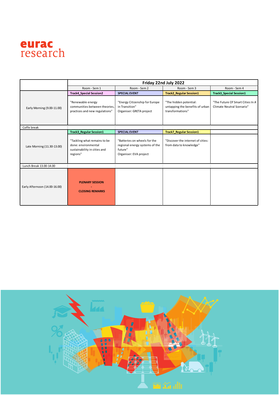

|                               | Friday 22nd July 2022                                                                           |                                                                                                     |                                                                               |                                                               |
|-------------------------------|-------------------------------------------------------------------------------------------------|-----------------------------------------------------------------------------------------------------|-------------------------------------------------------------------------------|---------------------------------------------------------------|
|                               | Room - Sem 1                                                                                    | Room - Sem 2                                                                                        | Room - Sem 3                                                                  | Room - Sem 4                                                  |
|                               | <b>Track4 Special Session2</b>                                                                  | <b>SPECIAL EVENT</b>                                                                                | <b>Track2_Regular Session1</b>                                                | <b>Track3 Special Session1</b>                                |
| Early Morning (9.00-11.00)    | "Renewable energy<br>communities between theories.<br>practices and new regulations"            | "Energy Citizenship for Europe<br>in Transition"<br>Organiser: GRETA project                        | "The hidden potential:<br>untapping the benefits of urban<br>transformations" | "The Future Of Smart Cities In A<br>Climate Neutral Scenario" |
| Coffe break                   |                                                                                                 |                                                                                                     |                                                                               |                                                               |
|                               | <b>Track3 Regular Session1</b>                                                                  | <b>SPECIAL EVENT</b>                                                                                | <b>Track7_Regular Session1</b>                                                |                                                               |
| Late Morning (11.30-13.00)    | "Tackling what remains to be<br>done: environmental<br>sustainability in cities and<br>regions" | "Batteries on wheels for the<br>regional energy systems of the<br>future"<br>Organiser: EVA project | "Discover the internet of cities:<br>from data to knowledge"                  |                                                               |
| Lunch Break 13.00-14.00       |                                                                                                 |                                                                                                     |                                                                               |                                                               |
| Early Afternoon (14.00-16.00) | <b>PLENARY SESSION</b><br><b>CLOSING REMARKS</b>                                                |                                                                                                     |                                                                               |                                                               |